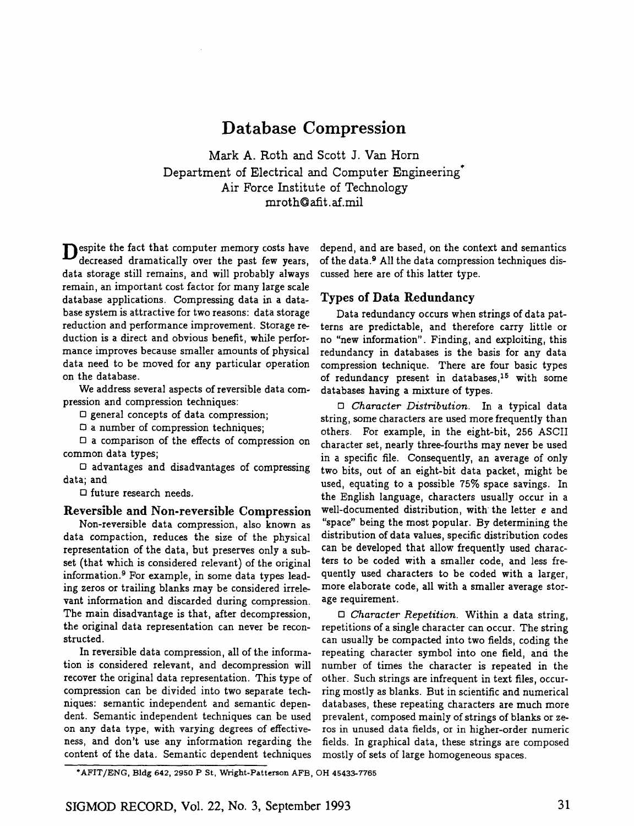# **Database Compression**

Mark A. Roth and Scott J. Van Horn Department of Electrical and Computer Engineering<sup>+</sup> Air Force Institute of Technology mroth@afit.af.mil

**D** espite the fact that computer memory costs have decreased dramatically over the past few years, data storage still remains, and will probably always remain, an important cost factor for many large scale database applications. Compressing data in a database system is attractive for two reasons: data storage reduction and performance improvement. Storage reduction is a direct and obvious benefit, while performance improves because smaller amounts of physical data need to be moved for any particular operation on the database.

We address several aspects of reversible data compression and compression techniques:

 $\square$  general concepts of data compression;

[] a number of compression techniques;

 $\square$  a comparison of the effects of compression on common data types;

D advantages and disadvantages of compressing data; and

 $\square$  future research needs.

## Reversible and Non-reversible Compression

Non-reversible data compression, also known as data compaction, reduces the size of the physical representation of the data, but preserves only a subset (that which is considered relevant) of the original information. ° For example, in some data types leading zeros or trailing blanks may be considered irrelevant information and discarded during compression. The main disadvantage is that, after decompression, the original data representation can never be reconstructed.

In reversible data compression, all of the information is considered relevant, and decompression will recover the original data representation. This type of compression can be divided into two separate techniques: semantic independent and semantic dependent. Semantic independent techniques can be used on any data type, with varying degrees of effectiveness, and don't use any information regarding the content of the data. Semantic dependent techniques

depend, and are based, on the context and semantics of the data.<sup>9</sup> All the data compression techniques discussed here are of this latter type.

#### Types of Data Redundancy

Data redundancy occurs when strings of data patterns are predictable, and therefore carry little or no "new information". Finding, and exploiting, this redundancy in databases is the basis for any data compression technique. There are four basic types of redundancy present in databases,  $15$  with some databases having a mixture of types.

*[] Character Distribution.* In a typical data string, some characters are used more frequently than others. For example, in the eight-bit, 256 ASCII character set, nearly three-fourths may never be used in a specific file. Consequently, an average of only two bits, out of an eight-bit data packet, might be used, equating to a possible 75% space savings. In the English language, characters usually occur in a well-documented distribution, with the letter e and "space" being the most popular. By determining the distribution of data values, specific distribution codes can be developed that allow frequently used characters to be coded with a smaller code, and less frequently used characters to be coded with a larger, more elaborate code, all with a smaller average storage requirement.

*D Character Repetition.* Within a data string, repetitions of a single character can occur. The string can usually be compacted into two fields, coding the repeating character symbol into one field, and the number of times the character is repeated in the other. Such strings are infrequent in text files, occurring mostly as blanks. But in scientific and numerical databases, these repeating characters are much more prevalent, composed mainly of strings of blanks or zeros in unused data fields, or in higher-order numeric fields. In graphical data, these strings are composed mostly of sets of large homogeneous spaces.

<sup>\*</sup>AFIT/ENG, Bldg 642, 2950 P St, Wright-Patterson AFB, OH 45433-7765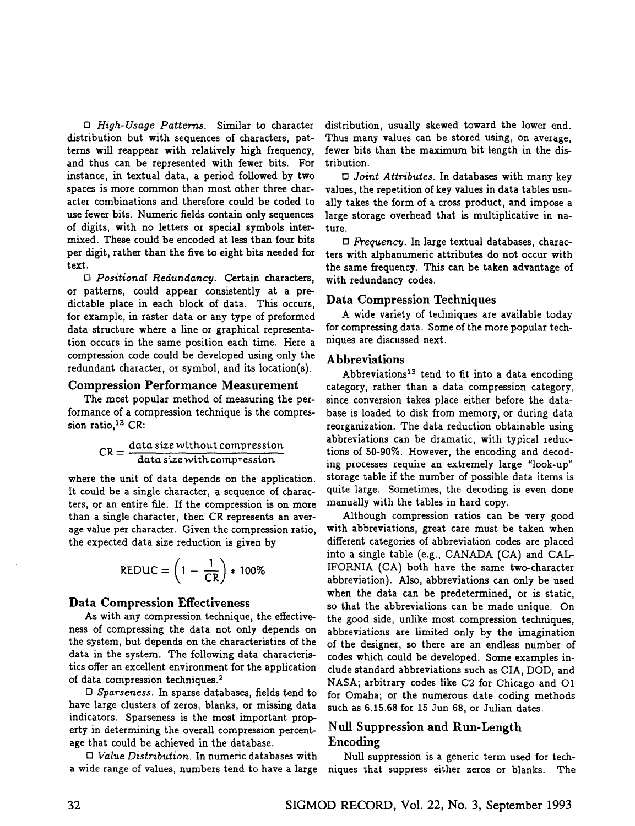*[] High-Usage Patterns.* Similar to character distribution but with sequences of characters, patterns will reappear with relatively high frequency, and thus can be represented with fewer bits. For instance, in textual data, a period followed by two spaces is more common than most other three character combinations and therefore could be coded to use fewer bits. Numeric fields contain only sequences of digits, with no letters or special symbols intermixed. These could be encoded at less than four bits per digit, rather than the five to eight bits needed for text.

*[] Positional Redundancy.* Certain characters, or patterns, could appear consistently at a predictable place in each block of data. This occurs, for example, in raster data or any type of preformed data structure where a line or graphical representation occurs in the same position each time. Here a compression code could be developed using only the redundant character, or symbol, and its location(s).

#### Compression Performance Measurement

The most popular method of measuring the performance of a compression technique is the compression ratio,  $13$  CR:

$$
CR = \frac{data\,size\,without\,compression}{data\,size\,with\,compression}
$$

where the unit of data depends on the application. It could be a single character, a sequence of characters, or an entire file. If the compression is on more than a single character, then CR represents an average value per character. Given the compression ratio, the expected data size reduction is given by

$$
REDUC = \left(1 - \frac{1}{CR}\right) * 100\%
$$

#### Data Compression Effectiveness

As with any compression technique, the effectiveness of compressing the data not only depends on the system, but depends on the characteristics of the data in the system. The following data characteristics offer an excellent environment for the application of data compression techniques. 2

*[] Sparseness.* In sparse databases, fields tend to have large clusters of zeros, blanks, or missing data indicators. Sparseness is the most important property in determining the overall compression percentage that could be achieved in the database.

*[] Value Distribution.* In numeric databases with a wide range of values, numbers tend to have a large

distribution, usually skewed toward the lower end. Thus many values can be stored using, on average, fewer bits than the maximum bit length in the distribution.

*[] Joint Attributes.* In databases with many key values, the repetition of key values in data tables usually takes the form of a cross product, and impose a large storage overhead that is multiplicative in nature.

□ *Frequency.* In large textual databases, characters with alphanumeric attributes do not occur with the same frequency. This can be taken advantage of with redundancy codes.

#### Data Compression Techniques

A wide variety of techniques are available today for compressing data. Some of the more popular techniques are discussed next.

### Abbreviations

Abbreviations<sup>13</sup> tend to fit into a data encoding category, rather than a data compression category, since conversion takes place either before the database is loaded to disk from memory, or during data reorganization. The data reduction obtainable using abbreviations can be dramatic, with typical reductions of 50-90%. However, the encoding and decoding processes require an extremely large "look-up" storage table if the number of possible data items is quite large. Sometimes, the decoding is even done manually with the tables in hard copy.

Although compression ratios can be very good with abbreviations, great care must be taken when different categories of abbreviation codes are placed into a single table (e.g., CANADA (CA) and CAL-IPORNIA (CA) both have the same two-character abbreviation). Also, abbreviations can only be used when the data can be predetermined, or is static, so that the abbreviations can be made unique. On the good side, unlike most compression techniques, abbreviations are limited only by the imagination of the designer, so there are an endless number of codes which could be developed. Some examples include standard abbreviations such as *CIA,* DOD, and NASA; arbitrary codes like C2 for Chicago and O1 for Omaha; or the numerous date coding methods such as 6.15.68 for 15 Jun 68, or Julian dates.

## Null Suppression and Run-Length Encoding

Null suppression is a generic term used for techniques that suppress either zeros or blanks. The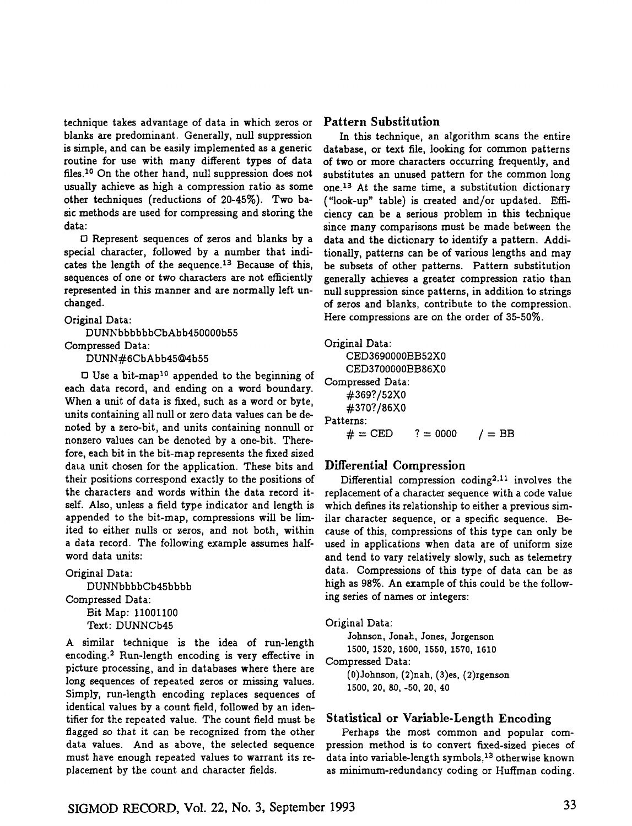technique takes advantage of data in which zeros or blanks are predominant. Generally, null suppression is simple, and can be easily implemented as a generic routine for use with many different types of data files.<sup>10</sup> On the other hand, null suppression does not usually achieve as high a compression ratio as some other techniques (reductions of 20-45%). Two basic methods are used for compressing and storing the data:

D Represent sequences of zeros and blanks by a special character, followed by a number that indicates the length of the sequence.<sup>13</sup> Because of this, sequences of one or two characters are not efficiently represented in this manner and are normally left unchanged.

#### Original Data:

DUNNbbbbbbCbAbb450000b55 Compressed Data:

DUNN#6CbAbb45@4b55

 $\Box$  Use a bit-map<sup>10</sup> appended to the beginning of each data record, and ending on a word boundary. When a unit of data is fixed, such as a word or byte, units containing all null or zero data values can be denoted by a zero-bit, and units containing nonnull or nonzero values can be denoted by a one-bit. Therefore, each bit in the bit-map represents the fixed sized data unit chosen for the application. These bits and their positions correspond exactly to the positions of the characters and words within the data record itself. Also, unless a field type indicator and length is appended to the bit-map, compressions will be limited to either nulls or zeros, and not both, within a data record. The following example assumes halfword data units:

Original Data: DUNNbbbbCb45bbbb Compressed Data: Bit Map: 11001100 Text: DUNNCb45

A similar technique is the idea of run-length encoding. 2 Run-length encoding is very effective in picture processing, and in databases where there are long sequences of repeated zeros or missing values. Simply, run-length encoding replaces sequences of identical values by a count field, followed by an identifier for the repeated value. The count field must be flagged so that it can be recognized from the other data values. And as above, the selected sequence must have enough repeated values to warrant its replacement by the count and character fields.

## **Pattern Substitution**

In this technique, an algorithm scans the entire database, or text file, looking for common patterns of two or more characters occurring frequently, and substitutes an unused pattern for the common long one.<sup>13</sup> At the same time, a substitution dictionary ("look-up" table) is created and/or updated. Efficiency can be a serious problem in this technique since many comparisons must be made between the data and the dictionary to identify a pattern. Additionally, patterns can be of various lengths and may be subsets of other patterns. Pattern substitution generally achieves a greater compression ratio than null suppression since patterns, in addition to strings of zeros and blanks, contribute to the compression. Here compressions are on the order of 35-50%.

| Original Data:   |            |          |
|------------------|------------|----------|
| CED3690000BB52X0 |            |          |
| CED3700000BB86X0 |            |          |
| Compressed Data: |            |          |
| #369?/52X0       |            |          |
| #370?/86X0       |            |          |
| Patterns:        |            |          |
| $# = CED$        | $? = 0000$ | $/ = BB$ |

## Differential Compression

Differential compression coding<sup>2,11</sup> involves the replacement of a character sequence with a code value which defines its relationship to either a previous similar character sequence, or a specific sequence. Because of this, compressions of this type can only be used in applications when data are of uniform size and tend to vary relatively slowly, such as telemetry data. Compressions of this type of data can be as high as 98%. An example of this could be the following series of names or integers:

#### Original Data:

Johnson, Jonah, Jones, Jorgenson 1500, 1520, 1600, 1550, 1570, 1610 Compressed Data: (0)Johnson, (2)nah, (3)es, (2)rgenson 1500, 20, 80, -50, 20, 40

## Statistical or Variable-Length Encoding

Perhaps the most common and popular compression method is to convert fixed-sized pieces of data into variable-length symbols, 13 otherwise known as minimum-redundancy coding or Huffman coding.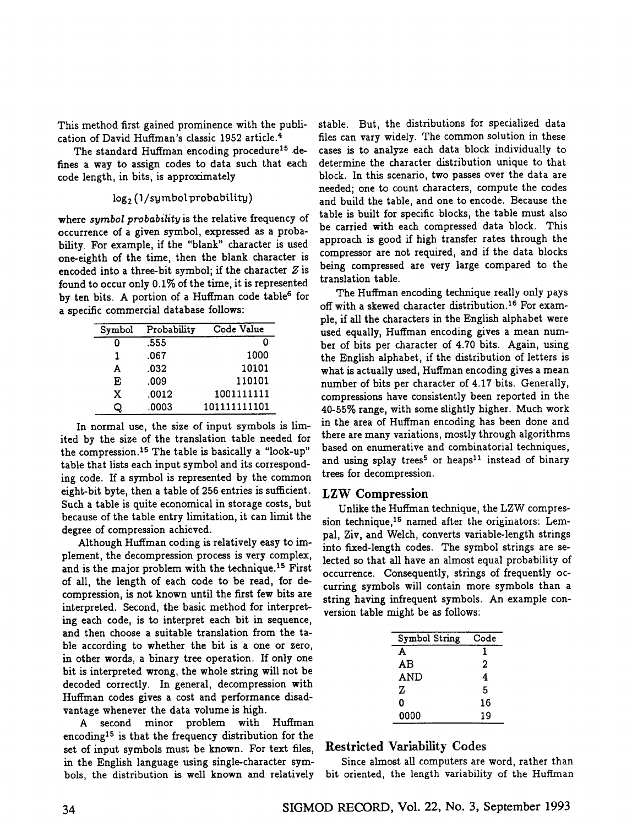This method first gained prominence with the publication of David Huffman's classic 1952 article. 4

The standard Huffman encoding procedure<sup>15</sup> defines a way to assign codes to data such that each code length, in bits, is approximately

#### $log_2$  ( $1/s$ ymbol probability)

where *symbol probability* is the relative frequency of occurrence of a given symbol, expressed as a probability. For example, if the "blank" character is used one-eighth of the time, then the blank character is encoded into a three-bit symbol; if the character  $Z$  is found to occur only 0.1% of the time, it is represented by ten bits. A portion of a Huffman code table<sup>6</sup> for a specific commercial database follows:

| Symbol | Probability | Code Value   |
|--------|-------------|--------------|
| Ω      | .555        |              |
| 1      | .067        | 1000         |
| A      | .032        | 10101        |
| E      | .009        | 110101       |
| x      | .0012       | 1001111111   |
|        | .0003       | 101111111101 |

In normal use, the size of input symbols is limited by the size of the translation table needed for the compression.<sup>15</sup> The table is basically a "look-up" table that lists each input symbol and its corresponding code. If a symbol is represented by the common eight-bit byte, then a table of 256 entries is sufficient. Such a table is quite economical in storage costs, but because of the table entry limitation, it can limit the degree of compression achieved.

Although Huffman coding is relatively easy to implement, the decompression process is very complex, and is the major problem with the technique.<sup>15</sup> First of all, the length of each code to be read, for decompression, is not known until the first few bits are interpreted. Second, the basic method for interpreting each code, is to interpret each bit in sequence, and then choose a suitable translation from the table according to whether the bit is a one or zero, in other words, a binary tree operation. If only one bit is interpreted wrong, the whole string will not be decoded correctly. In general, decompression with Huffman codes gives a cost and performance disadvantage whenever the data volume is high.

A second minor problem with Huffman encoding<sup>15</sup> is that the frequency distribution for the set of input symbols must be known. For text files, in the English language using single-character symbols, the distribution is well known and relatively

stable. But, the distributions for specialized data files can vary widely. The common solution in these cases is to analyze each data block individually to determine the character distribution unique to that block. In this scenario, two passes over the data are needed; one to count characters, compute the codes and build the table, and one to encode. Because the table is built for specific blocks, the table must also be carried with each compressed data block. This approach is good if high transfer rates through the compressor are not required, and if the data blocks being compressed are very large compared to the translation table.

The Huffman encoding technique really only pays off with a skewed character distribution.<sup>16</sup> For example, if all the characters in the English alphabet were used equally, Huffman encoding gives a mean number of bits per character of 4.70 bits. Again, using the English alphabet, if the distribution of letters is what is actually used, Huffman encoding gives a mean number of bits per character of 4.17 bits. Generally, compressions have consistently been reported in the 40-55% range, with some slightly higher. Much work in the area of Huffman encoding has been done and there are many variations, mostly through algorithms based on enumerative and combinatorial techniques, and using splay trees<sup>5</sup> or heaps<sup>11</sup> instead of binary trees for decompression.

#### *LZW* Compression

Unlike the Huffman technique, the LZW compression technique,<sup>15</sup> named after the originators: Lempal, Ziv, and Welch, converts variable-length strings into fixed-length codes. The symbol strings are selected so that all have an almost equal probability of occurrence. Consequently, strings of frequently occurring symbols will contain more symbols than a string having infrequent symbols. An example conversion table might be as follows:

| Symbol String | Code |
|---------------|------|
| A             | 1    |
| AВ            | 2    |
| AND           | 4    |
| z             | 5    |
| 0             | 16   |
| 0000          | 19   |

#### Restricted Variability Codes

Since almost all computers are word, rather than bit oriented, the length variability of the Huffman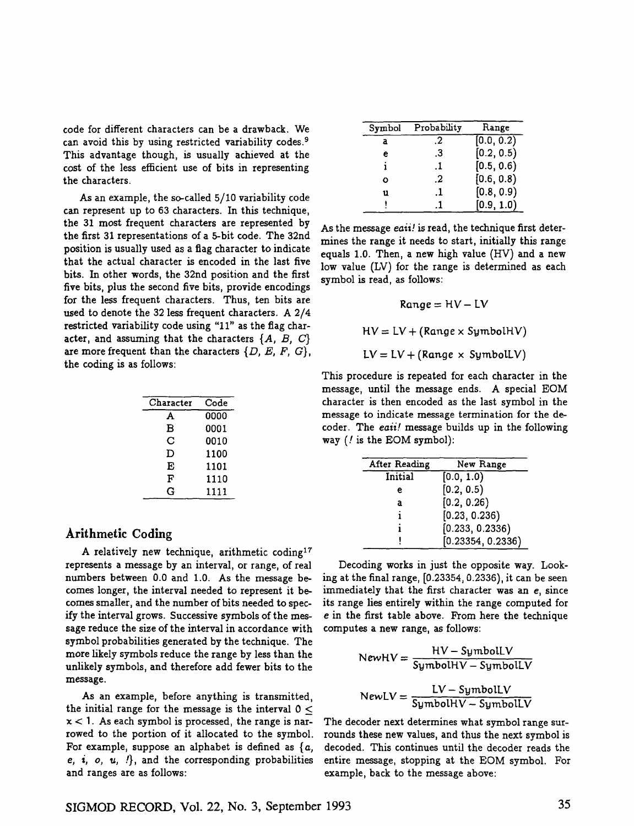code for different characters can be a drawback. We can avoid this by using restricted variability codes.<sup>9</sup> This advantage though, is usually achieved at the cost of the less efficient use of bits in representing the characters.

As an example, the so-called 5/10 variability code can represent up to 63 characters. In this technique, the 31 most frequent characters are represented by the first 31 representations of a 5-bit code. The 32nd position is usually used as a flag character to indicate that the actual character is encoded in the last five bits. In other words, the 32nd position and the first five bits, plus the second five bits, provide encodings for the less frequent characters. Thus, ten bits are used to denote the 32 less frequent characters. A 2/4 restricted variability code using "11" as the flag character, and assuming that the characters *{A, B, C}*  are more frequent than the characters *{D, E, F, G},*  the coding is as follows:

| Character | Code |
|-----------|------|
| A         | 0000 |
| в         | 0001 |
| С         | 0010 |
| D         | 1100 |
| E         | 1101 |
| F         | 1110 |
| ົ         | 1111 |

#### Arithmetic Coding

A relatively new technique, arithmetic coding<sup>17</sup> represents a message by an interval, or range, of real numbers between 0.0 and 1.0. As the message becomes longer, the interval needed to represent it becomes smaller, and the number of bits needed to specify the interval grows. Successive symbols of the message reduce the size of the interval in accordance with symbol probabilities generated by the technique. The more likely symbols reduce the range by less than the unlikely symbols, and therefore add fewer bits to the message.

As an example, before anything is transmitted, the initial range for the message is the interval  $0 <$  $x < 1$ . As each symbol is processed, the range is narrowed to the portion of it allocated to the symbol. For example, suppose an alphabet is defined as  $\{a,$ e, i, o, u,  $\{ \}$ , and the corresponding probabilities and ranges are as follows:

| Symbol | Probability | Range      |
|--------|-------------|------------|
| a      | $\cdot$     | [0.0, 0.2) |
| е      | .3          | [0.2, 0.5) |
|        | .1          | [0.5, 0.6) |
| O      | .2          | [0.6, 0.8) |
| u      | .1          | [0.8, 0.9) |
|        | -1          | [0.9, 1.0) |

As the message *eaii! is* read, the technique first determines the range it needs to start, initially this range equals 1.0. Then, a new high value (HV) and a new low value (LV) for the range is determined as each symbol is read, as follows:

$$
Range = HV - LV
$$

 $HV = LV + (Range \times SymbolHV)$ 

 $LV = LV + (Range \times SymbolLV)$ 

This procedure is repeated for each character in the message, until the message ends. A special EOM character is then encoded as the last symbol in the message to indicate message termination for the decoder. The *eaii!* message builds up in the following way (! is the EOM symbol):

| After Reading | New Range         |
|---------------|-------------------|
| Initial       | [0.0, 1.0]        |
| е             | [0.2, 0.5)        |
| a             | [0.2, 0.26)       |
|               | [0.23, 0.236)     |
|               | [0.233, 0.2336]   |
|               | [0.23354, 0.2336) |

Decoding works in just the opposite way. Looking at the final range, [0.23354, 0.2336), it can be seen immediately that the first character was an e, since its range lies entirely within the range computed for e in the first table above. From here the technique computes a new range, as follows:

$$
NewHV = \frac{HV - SymbolLV}{SymbolHV - SymbolLV}
$$

$$
NewLV = \frac{LV - SymbolLV}{SymbolHV - SymbolLV}
$$

The decoder next determines what symbol range surrounds these new values, and thus the next symbol is decoded. This continues until the decoder reads the entire message, stopping at the EOM symbol. For example, back to the message above: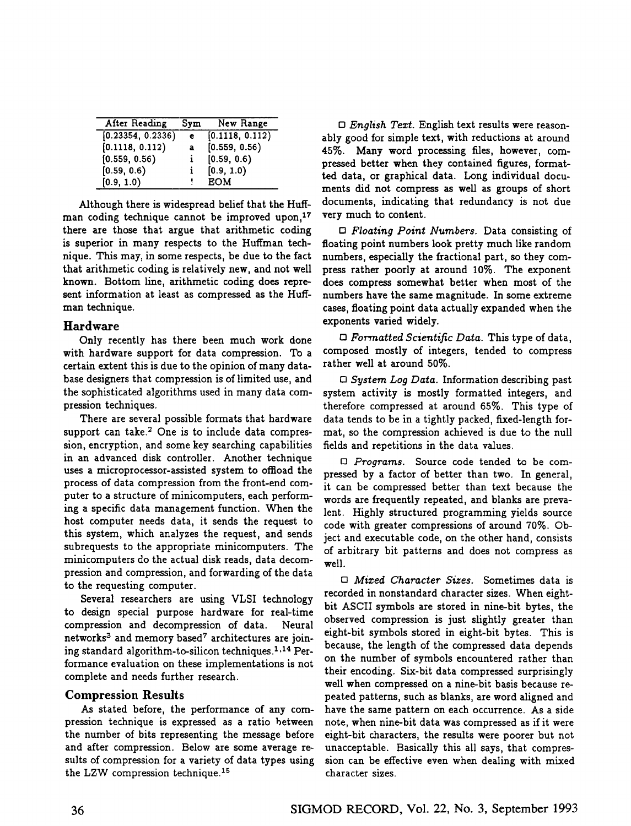| After Reading     | Sym | New Range       |
|-------------------|-----|-----------------|
| [0.23354, 0.2336] | e.  | [0.1118, 0.112] |
| [0.1118, 0.112]   | a   | [0.559, 0.56]   |
| [0.559, 0.56]     | i.  | [0.59, 0.6]     |
| [0.59, 0.6]       | i.  | [0.9, 1.0]      |
| [0.9, 1.0)        |     | <b>EOM</b>      |

Although there is widespread belief that the Huffman coding technique cannot be improved upon,<sup>17</sup> there are those that argue that arithmetic coding is superior in many respects to the Huffman technique. This may, in some respects, be due to the fact that arithmetic coding is relatively new, and not well known. Bottom line, arithmetic coding does represent information at least as compressed as the Huffman technique.

#### Hardware

Only recently has there been much work done with hardware support for data compression. To a certain extent this is due to the opinion of many database designers that compression is of limited use, and the sophisticated algorithms used in many data compression techniques.

There are several possible formats that hardware support can take.<sup>2</sup> One is to include data compression, encryption, and some key searching capabilities in an advanced disk controller. Another technique uses a microprocessor-assisted system to oflioad the process of data compression from the front-end computer to a structure of minicomputers, each performing a specific data management function. When the host computer needs data, it sends the request to this system, which analyzes the request, and sends subrequests to the appropriate minicomputers. The minicomputers do the actual disk reads, data decompression and compression, and forwarding of the data to the requesting computer.

Several researchers are using VLSI technology to design special purpose hardware for real-time compression and decompression of data. Neural networks<sup>3</sup> and memory based<sup>7</sup> architectures are joining standard algorithm-to-silicon techniques. 1.14 Performance evaluation on these implementations is not complete and needs further research.

## Compression Results

As stated before, the performance of any compression technique is expressed as a ratio between the number of bits representing the message before and after compression. Below are some average resuits of compression for a variety of data types using the LZW compression technique. 15

*D English Tezt.* English text results were reasonably good for simple text, with reductions at around 45%. Many word processing files, however, compressed better when they contained figures, formatted data, or graphical data. Long individual documents did not compress as well as groups of short documents, indicating that redundancy is not due very much to content.

*D Floating Point Numbers.* Data consisting of floating point numbers look pretty much like random numbers, especially the fractional part, so they compress rather poorly at around 10%. The exponent does compress somewhat better when most of the numbers have the same magnitude. In some extreme cases, floating point data actually expanded when the exponents varied widely.

*D Formatted Scienti~c Data.* This type of data, composed mostly of integers, tended to compress rather well at around 50%.

*[] System Log Data.* Information describing past system activity is mostly formatted integers, and therefore compressed at around 65%. This type of data tends to be in a tightly packed, fixed-length format, so the compression achieved is due to the null fields and repetitions in the data values.

*D Programs.* Source code tended to be compressed by a factor of better than two. In general, it can be compressed better than text because the words are frequently repeated, and blanks are prevalent. Highly structured programming yields source code with greater compressions of around 70%. Object and executable code, on the other hand, consists of arbitrary bit patterns and does not compress as well.

*[] Mized Character Sizes.* Sometimes data is recorded in nonstandard character sizes. When eightbit ASCII symbols are stored in nine-bit bytes, the observed compression is just slightly greater than eight-bit symbols stored in eight-bit bytes. This is because, the length of the compressed data depends on the number of symbols encountered rather than their encoding. Six-bit data compressed surprisingly well when compressed on a nine-bit basis because repeated patterns, such as blanks, are word aligned and have the same pattern on each occurrence. As a side note, when nine-bit data was compressed as if it were eight-bit characters, the results were poorer but not unacceptable. Basically this all says, that compression can be effective even when dealing with mixed character sizes.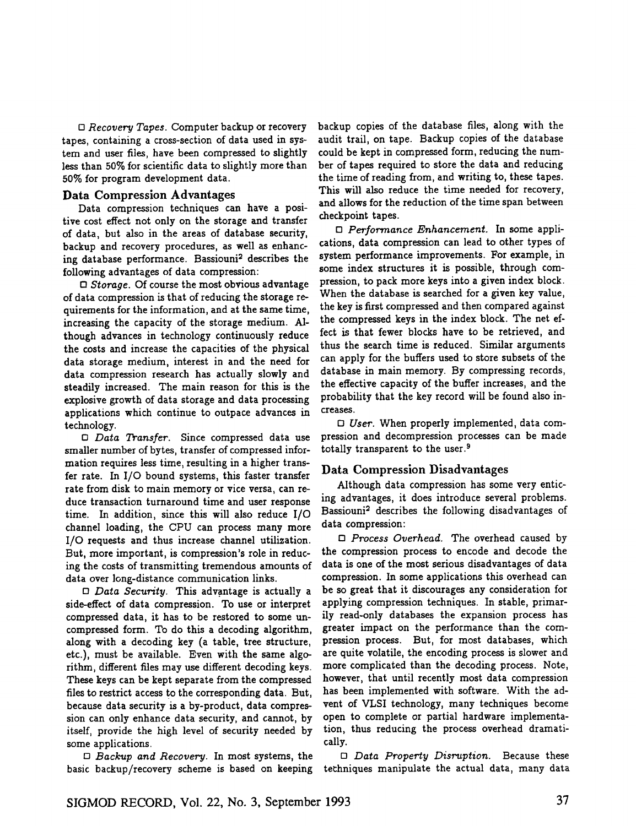*[] Recovery Tapes.* Computer backup or recovery tapes, containing a cross-section of data used in system and user files, have been compressed to slightly less than 50% for scientific data to slightly more than 50% for program development data.

#### Data Compression Advantages

Data compression techniques can have a positive cost effect not only on the storage and transfer of data, but also in the areas of database security, backup and recovery procedures, as well as enhancing database performance. Bassiouni<sup>2</sup> describes the following advantages of data compression:

*[] Storage.* Of course the most obvious advantage of data compression is that of reducing the storage requirements for the information, and at the same time, increasing the capacity of the storage medium. Although advances in technology continuously reduce the costs and increase the capacities of the physical data storage medium, interest in and the need for data compression research has actually slowly and steadily increased. The main reason for this is the explosive growth of data storage and data processing apphcations which continue to outpace advances in technology.

*[] Data Transfer.* Since compressed data use smaller number of bytes, transfer of compressed information requires less time, resulting in a higher transfer rate. In I/O bound systems, this faster transfer rate from disk to main memory or vice versa, can reduce transaction turnaround time and user response time. In addition, since this will also reduce I/O channel loading, the CPU can process many more I/O requests and thus increase channel utilization. But, more important, is compression's role in reducing the costs of transmitting tremendous amounts of data over long-distance communication links.

*[] Data Security.* This advantage is actually a side-effect of data compression. To use or interpret compressed data, it has to be restored to some uncompressed form. To do this a decoding algorithm, along with a decoding key (a table, tree structure, etc.), must be available. Even with the same algorithm, different files may use different decoding keys. These keys can be kept separate from the compressed files to restrict access to the corresponding data. But, because data security is a by-product, data compression can only enhance data security, and cannot, by itself, provide the high level of security needed by some applications.

*[] Backup and Recovery.* In most systems, the basic backup/recovery scheme is based on keeping

backup copies of the database files, along with the audit trail, on tape. Backup copies of the database could be kept in compressed form, reducing the number of tapes required to store the data and reducing the time of reading from, and writing to, these tapes. This will also reduce the time needed for recovery, and allows for the reduction of the time span between checkpoint tapes.

*[] Performance Enhancement.* In some applications, data compression can lead to other types of system performance improvements. For example, in some index structures it is possible, through compression, to pack more keys into a given index block. When the database is searched for a given key value, the key is first compressed and then compared against the compressed keys in the index block. The net effect is that fewer blocks have to be retrieved, and thus the search time is reduced. Similar arguments can apply for the buffers used to store subsets of the database in main memory. By compressing records, the effective capacity of the buffer increases, and the probability that the key record will be found also increases.

*[] User.* When properly implemented, data compression and decompression processes can be made totally transparent to the user. 9

#### Data Compression Disadvantages

Although data compression has some very enticing advantages, it does introduce several problems. Bassiouni<sup>2</sup> describes the following disadvantages of data compression:

*[] Process Overhead.* The overhead caused by the compression process to encode and decode the data is one of the most serious disadvantages of data compression. In some applications this overhead can be so great that it discourages any consideration for applying compression techniques. In stable, primarily read-only databases the expansion process has greater impact on the performance than the compression process. But, for most databases, which are quite volatile, the encoding process is slower and more complicated than the decoding process. Note, however, that until recently most data compression has been implemented with software. With the advent of VLSI technology, many techniques become open to complete or partial hardware implementation, thus reducing the process overhead dramatically.

*[] Data Prope~y Disr'uption.* Because these techniques manipulate the actual data, many data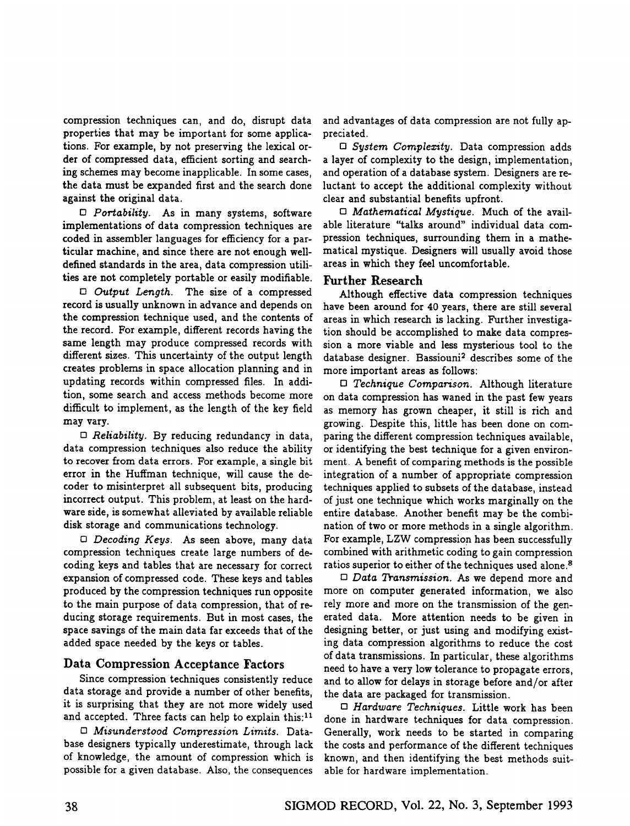compression techniques can, and do, disrupt data properties that may be important for some applications. For example, by not preserving the lexical order of compressed data, efficient sorting and searching schemes may become inapplicable. In some cases, the data must be expanded first and the search done against the original data.

*0 Portability.* As in many systems, software implementations of data compression techniques are coded in assembler languages for efficiency for a particular machine, and since there are not enough welldefined standards in the area, data compression utilities are not completely portable or easily modifiable.

*[] Output Length.* The size of a compressed record is usually unknown in advance and depends on the compression technique used, and the contents of the record. For example, different records having the same length may produce compressed records with different sizes. This uncertainty of the output length creates problems in space allocation planning and in updating records within compressed files. In addition, some search and access methods become more difficult to implement, as the length of the key field may vary.

*[] Reliability.* By reducing redundancy in data, data compression techniques also reduce the ability to recover from data errors. For example, a single bit error in the Huffman technique, will cause the decoder to misinterpret all subsequent bits, producing incorrect output. This problem, at least on the hardware side, is somewhat alleviated by available reliable disk storage and communications technology.

*0 Decoding Keys.* As seen above, many data compression techniques create large numbers of decoding keys and tables that are necessary for correct expansion of compressed code. These keys and tables produced by the compression techniques run opposite to the main purpose of data compression, that of reducing storage requirements. But in most cases, the space savings of the main data far exceeds that of the added space needed by the keys or tables.

## Data Compression Acceptance Factors

Since compression techniques consistently reduce data storage and provide a number of other benefits, it is surprising that they are not more widely used and accepted. Three facts can help to explain this:<sup>11</sup>

*[] Misunderstood Compression Limits.* Database designers typically underestimate, through lack of knowledge, the amount of compression which is possible for a given database. Also, the consequences

and advantages of data compression are not fully appreciated.

*[] System Complexity.* Data compression adds a layer of complexity to the design, implementation, and operation of a database system. Designers are reluctant to accept the additional complexity without clear and substantial benefits upfront.

*[] Mathematical Mystique.* Much of the available hterature "talks around" individual data compression techniques, surrounding them in a mathematical mystique. Designers will usually avoid those areas in which they feel uncomfortable.

## Further Research

Although effective data compression techniques have been around for 40 years, there are still several areas in which research is lacking. Further investigation should be accomplished to make data compression a more viable and less mysterious tool to the database designer. Bassiouni<sup>2</sup> describes some of the more important areas as follows:

*[] Technique Comparison.* Although literature on data compression has waned in the past few years as memory has grown cheaper, it still is rich and growing. Despite this, little has been done on comparing the different compression techniques available, or identifying the best technique for a given environment. A benefit of comparing methods is the possible integration of a number of appropriate compression techniques applied to subsets of the database, instead of just one technique which works marginally on the entire database. Another benefit may be the combination of two or more methods in a single algorithm. For example, LZW compression has been successfully combined with arithmetic coding to gain compression ratios superior to either of the techniques used alone.<sup>8</sup>

*[] Data Transmission. As* we depend more and more on computer generated information, we also rely more and more on the transmission of the generated data. More attention needs to be given in designing better, or just using and modifying existing data compression algorithms to reduce the cost of data transmissions. In particular, these algorithms need to have a very low tolerance to propagate errors, and to allow for delays in storage before and/or after the data are packaged for transmission.

*D Hardware Techniques.* Little work has been done in hardware techniques for data compression. Generally, work needs to be started in comparing the costs and performance of the different techniques known, and then identifying the best methods suitable for hardware implementation.